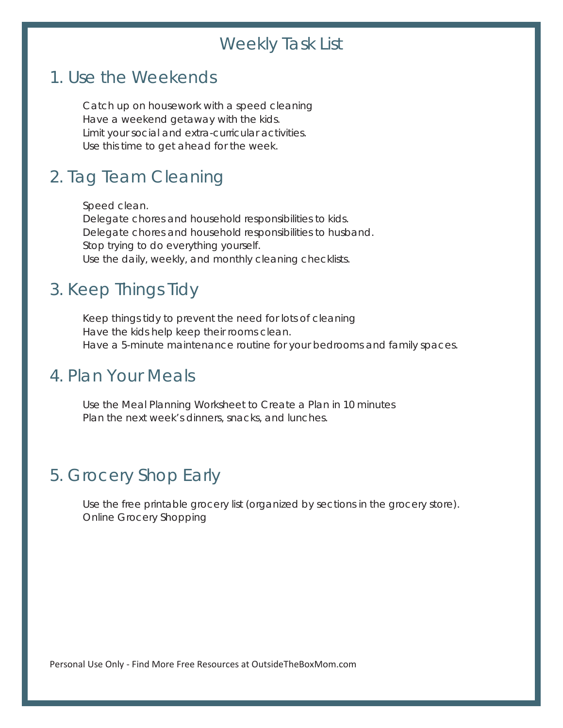# Weekly Task List

#### 1. Use the Weekends

 Catch up on housework with a speed cleaning Have a weekend getaway with the kids. Limit your social and extra-curricular activities. Use this time to get ahead for the week.

### 2. Tag Team Cleaning

 Speed clean. Delegate chores and household responsibilities to kids. Delegate chores and household responsibilities to husband. Stop trying to do everything yourself. Use the daily, weekly, and monthly cleaning checklists.

### 3. Keep Things Tidy

 Keep things tidy to prevent the need for lots of cleaning Have the kids help keep their rooms clean. Have a 5-minute maintenance routine for your bedrooms and family spaces.

### 4. Plan Your Meals

 Use the Meal Planning Worksheet to Create a Plan in 10 minutes Plan the next week's dinners, snacks, and lunches.

# 5. Grocery Shop Early

 Use the free printable grocery list (organized by sections in the grocery store). Online Grocery Shopping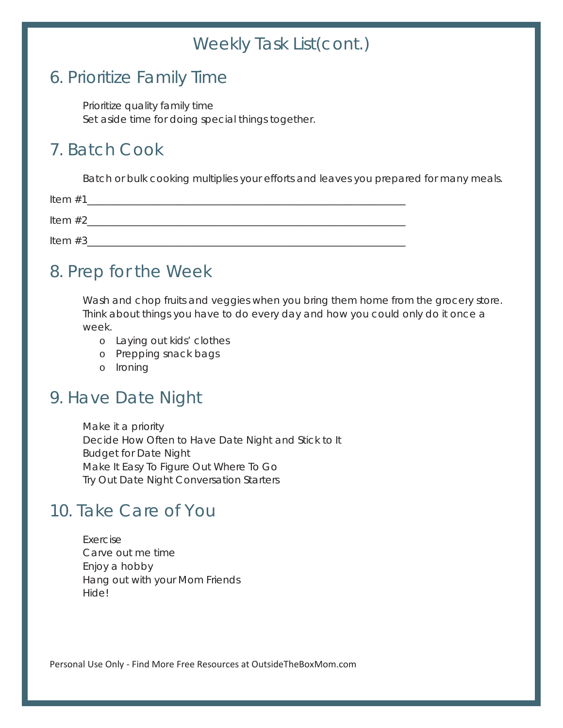# Weekly Task List(cont.)

# 6. Prioritize Family Time

 Prioritize quality family time Set aside time for doing special things together.

# 7. Batch Cook

Batch or bulk cooking multiplies your efforts and leaves you prepared for many meals.

| Item $#1$  |  |
|------------|--|
| Item $#2$  |  |
| Item $#3_$ |  |

# 8. Prep for the Week

 Wash and chop fruits and veggies when you bring them home from the grocery store. Think about things you have to do every day and how you could only do it once a week.

- o Laying out kids' clothes
- o Prepping snack bags
- o Ironing

# 9. Have Date Night

 Make it a priority Decide How Often to Have Date Night and Stick to It Budget for Date Night Make It Easy To Figure Out Where To Go Try Out Date Night Conversation Starters

# 10. Take Care of You

 Exercise Carve out me time Enjoy a hobby Hang out with your Mom Friends Hide!

Personal Use Only - Find More Free Resources at OutsideTheBoxMom.com